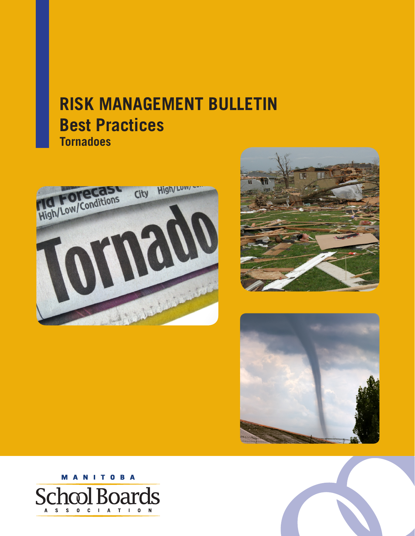# **RISK MANAGEMENT BULLETIN Best Practices Tornadoes**









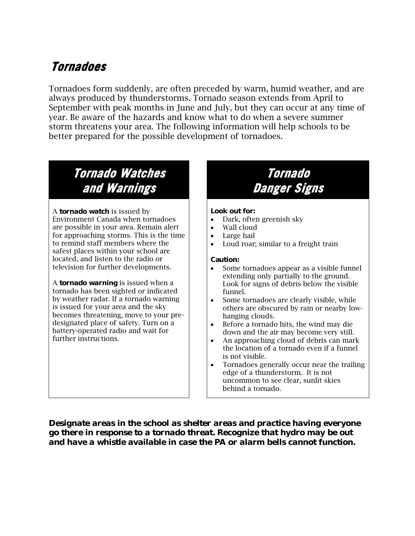### **Tornadoes**

Tornadoes form suddenly, are often preceded by warm, humid weather, and are always produced by thunderstorms. Tornado season extends from April to September with peak months in June and July, but they can occur at any time of year. Be aware of the hazards and know what to do when a severe summer storm threatens your area. The following information will help schools to be better prepared for the possible development of tornadoes.

## **Tornado Watches and Warnings**

A *tornado watch* is issued by Environment Canada when tornadoes are possible in your area. Remain alert for approaching storms. This is the time to remind staff members where the safest places within your school are located, and listen to the radio or television for further developments.

A *tornado warning* is issued when a tornado has been sighted or indicated by weather radar. If a tornado warning is issued for your area and the sky becomes threatening, move to your predesignated place of safety. Turn on a battery-operated radio and wait for further instructions.

### **Tornado Danger Signs**

### **Look out for:**

- Dark, often greenish sky
- Wall cloud
- Large hail
- Loud roar; similar to a freight train

### **Caution:**

- Some tornadoes appear as a visible funnel extending only partially to the ground. Look for signs of debris below the visible funnel.
- Some tornadoes are clearly visible, while others are obscured by rain or nearby lowhanging clouds.
- Before a tornado hits, the wind may die down and the air may become very still.
- An approaching cloud of debris can mark the location of a tornado even if a funnel is not visible.
- Tornadoes generally occur near the trailing edge of a thunderstorm. It is not uncommon to see clear, sunlit skies behind a tornado.

*Designate areas in the school as shelter areas and practice having everyone go there in response to a tornado threat. Recognize that hydro may be out and have a whistle available in case the PA or alarm bells cannot function.*